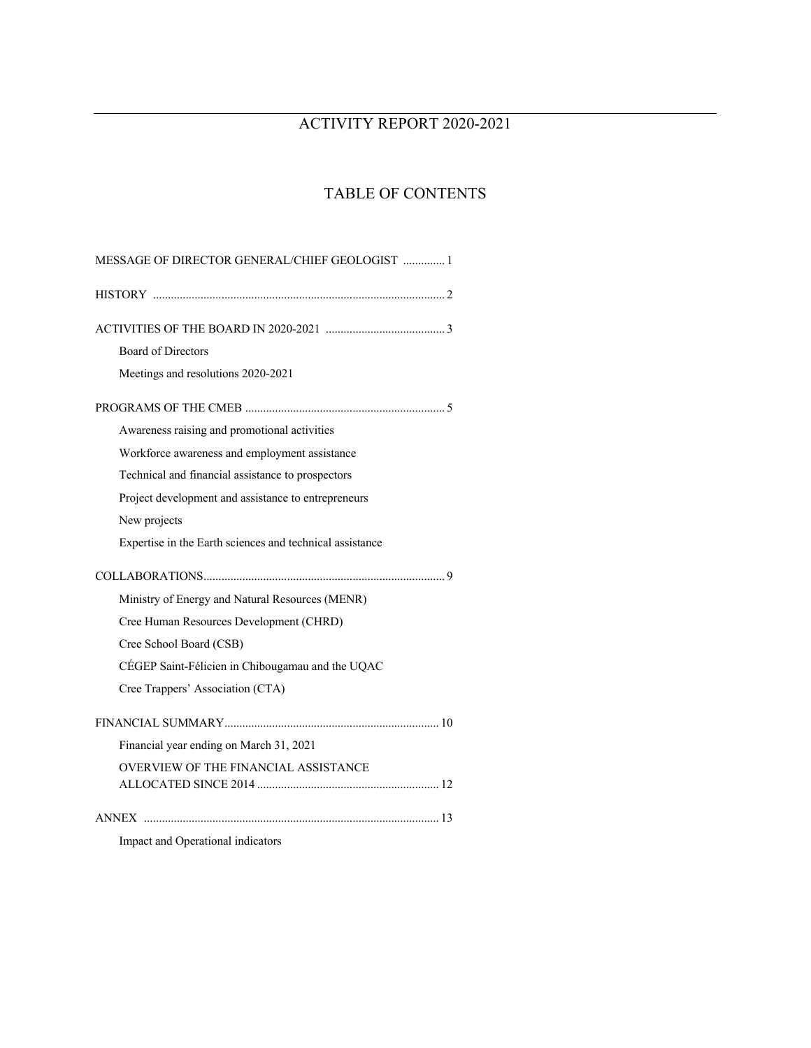# ACTIVITY REPORT 2020-2021

# TABLE OF CONTENTS

| MESSAGE OF DIRECTOR GENERAL/CHIEF GEOLOGIST  1           |
|----------------------------------------------------------|
|                                                          |
|                                                          |
| <b>Board of Directors</b>                                |
| Meetings and resolutions 2020-2021                       |
|                                                          |
| Awareness raising and promotional activities             |
| Workforce awareness and employment assistance            |
| Technical and financial assistance to prospectors        |
| Project development and assistance to entrepreneurs      |
| New projects                                             |
| Expertise in the Earth sciences and technical assistance |
|                                                          |
|                                                          |
| Ministry of Energy and Natural Resources (MENR)          |
| Cree Human Resources Development (CHRD)                  |
| Cree School Board (CSB)                                  |
| CÉGEP Saint-Félicien in Chibougamau and the UQAC         |
| Cree Trappers' Association (CTA)                         |
|                                                          |
| Financial year ending on March 31, 2021                  |
| OVERVIEW OF THE FINANCIAL ASSISTANCE                     |
|                                                          |
|                                                          |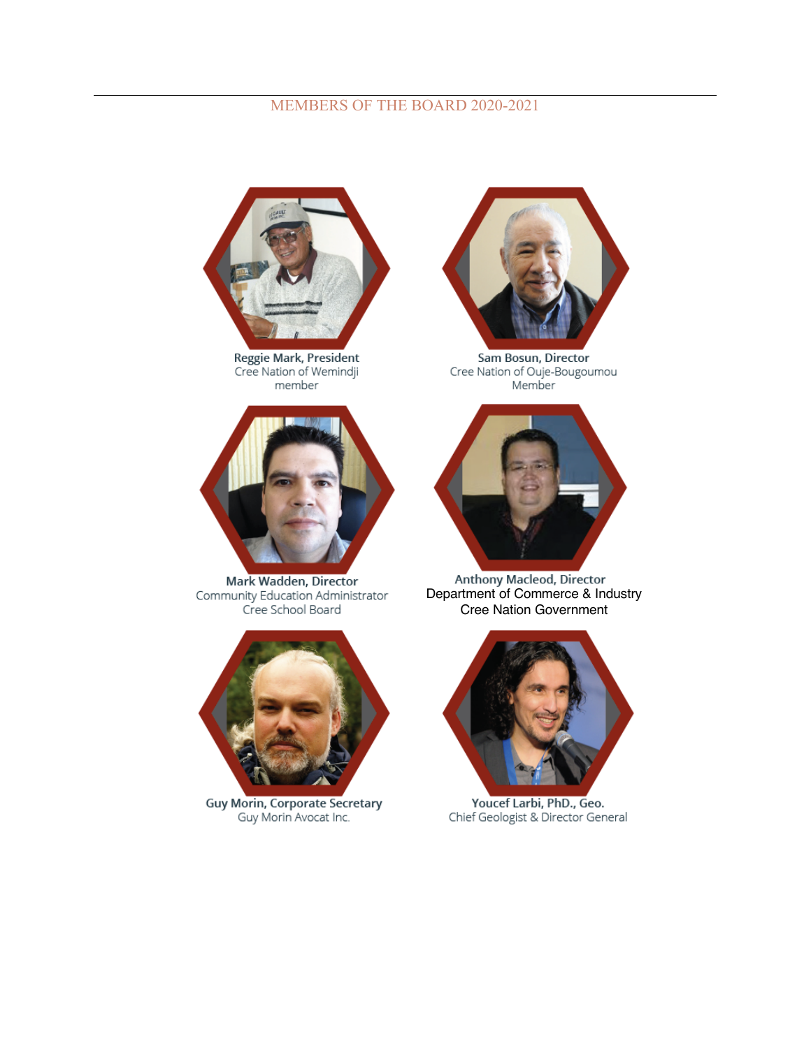# MEMBERS OF THE BOARD 2020-2021



Reggie Mark, President<br>Cree Nation of Wemindji member



Mark Wadden, Director Community Education Administrator Cree School Board



Guy Morin, Corporate Secretary<br>Guy Morin Avocat Inc.



Sam Bosun, Director Cree Nation of Ouje-Bougoumou Member



Anthony Macleod, Director<br>Department of Commerce & Industry Cree Nation Government



Youcef Larbi, PhD., Geo.<br>Chief Geologist & Director General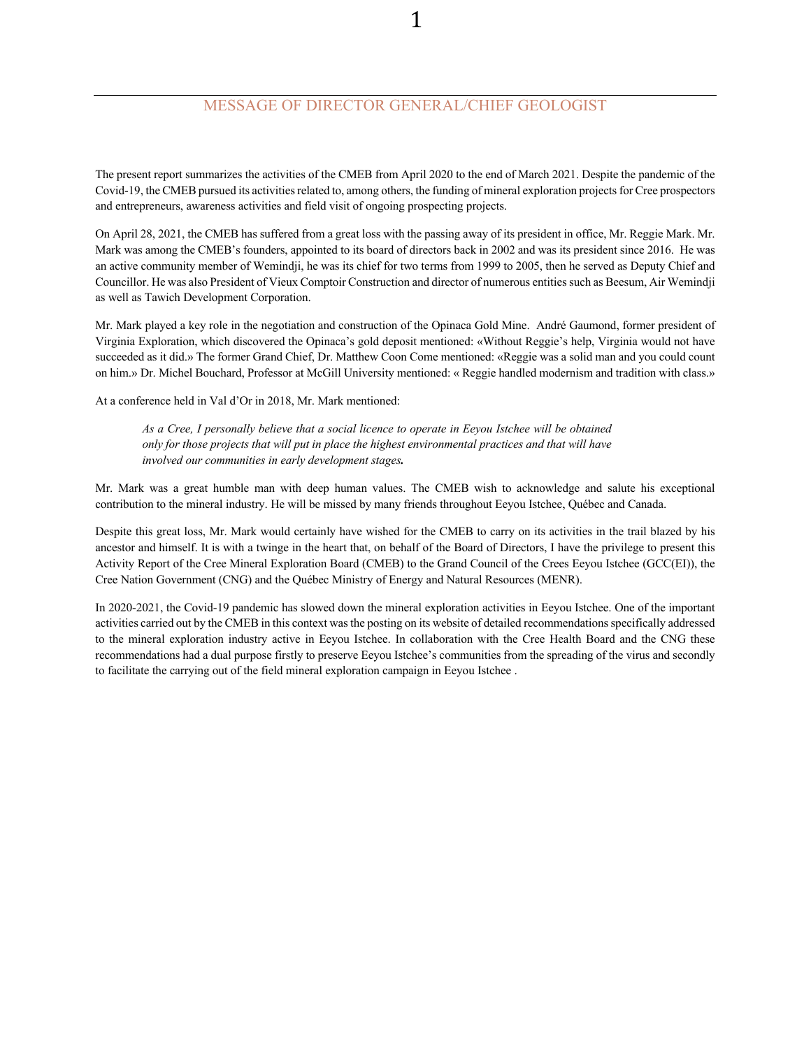# MESSAGE OF DIRECTOR GENERAL/CHIEF GEOLOGIST

The present report summarizes the activities of the CMEB from April 2020 to the end of March 2021. Despite the pandemic of the Covid-19, the CMEB pursued its activities related to, among others, the funding of mineral exploration projects for Cree prospectors and entrepreneurs, awareness activities and field visit of ongoing prospecting projects.

On April 28, 2021, the CMEB has suffered from a great loss with the passing away of its president in office, Mr. Reggie Mark. Mr. Mark was among the CMEB's founders, appointed to its board of directors back in 2002 and was its president since 2016. He was an active community member of Wemindji, he was its chief for two terms from 1999 to 2005, then he served as Deputy Chief and Councillor. He was also President of Vieux Comptoir Construction and director of numerous entities such as Beesum, Air Wemindji as well as Tawich Development Corporation.

Mr. Mark played a key role in the negotiation and construction of the Opinaca Gold Mine. André Gaumond, former president of Virginia Exploration, which discovered the Opinaca's gold deposit mentioned: «Without Reggie's help, Virginia would not have succeeded as it did.» The former Grand Chief, Dr. Matthew Coon Come mentioned: «Reggie was a solid man and you could count on him.» Dr. Michel Bouchard, Professor at McGill University mentioned: « Reggie handled modernism and tradition with class.»

At a conference held in Val d'Or in 2018, Mr. Mark mentioned:

*As a Cree, I personally believe that a social licence to operate in Eeyou Istchee will be obtained only for those projects that will put in place the highest environmental practices and that will have involved our communities in early development stages.*

Mr. Mark was a great humble man with deep human values. The CMEB wish to acknowledge and salute his exceptional contribution to the mineral industry. He will be missed by many friends throughout Eeyou Istchee, Québec and Canada.

Despite this great loss, Mr. Mark would certainly have wished for the CMEB to carry on its activities in the trail blazed by his ancestor and himself. It is with a twinge in the heart that, on behalf of the Board of Directors, I have the privilege to present this Activity Report of the Cree Mineral Exploration Board (CMEB) to the Grand Council of the Crees Eeyou Istchee (GCC(EI)), the Cree Nation Government (CNG) and the Québec Ministry of Energy and Natural Resources (MENR).

In 2020-2021, the Covid-19 pandemic has slowed down the mineral exploration activities in Eeyou Istchee. One of the important activities carried out by the CMEB in this context wasthe posting on its website of detailed recommendationsspecifically addressed to the mineral exploration industry active in Eeyou Istchee. In collaboration with the Cree Health Board and the CNG these recommendations had a dual purpose firstly to preserve Eeyou Istchee's communities from the spreading of the virus and secondly to facilitate the carrying out of the field mineral exploration campaign in Eeyou Istchee .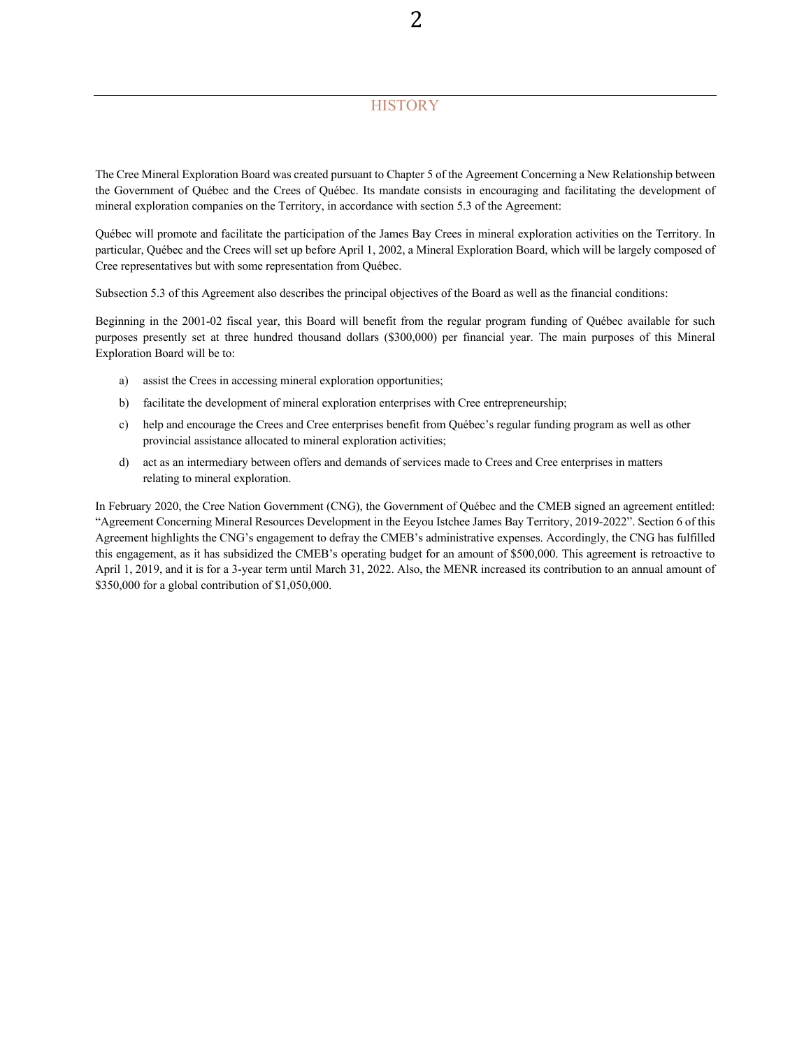# **HISTORY**

The Cree Mineral Exploration Board was created pursuant to Chapter 5 of the Agreement Concerning a New Relationship between the Government of Québec and the Crees of Québec. Its mandate consists in encouraging and facilitating the development of mineral exploration companies on the Territory, in accordance with section 5.3 of the Agreement:

Québec will promote and facilitate the participation of the James Bay Crees in mineral exploration activities on the Territory. In particular, Québec and the Crees will set up before April 1, 2002, a Mineral Exploration Board, which will be largely composed of Cree representatives but with some representation from Québec.

Subsection 5.3 of this Agreement also describes the principal objectives of the Board as well as the financial conditions:

Beginning in the 2001-02 fiscal year, this Board will benefit from the regular program funding of Québec available for such purposes presently set at three hundred thousand dollars (\$300,000) per financial year. The main purposes of this Mineral Exploration Board will be to:

- a) assist the Crees in accessing mineral exploration opportunities;
- b) facilitate the development of mineral exploration enterprises with Cree entrepreneurship;
- c) help and encourage the Crees and Cree enterprises benefit from Québec's regular funding program as well as other provincial assistance allocated to mineral exploration activities;
- d) act as an intermediary between offers and demands of services made to Crees and Cree enterprises in matters relating to mineral exploration.

In February 2020, the Cree Nation Government (CNG), the Government of Québec and the CMEB signed an agreement entitled: "Agreement Concerning Mineral Resources Development in the Eeyou Istchee James Bay Territory, 2019-2022". Section 6 of this Agreement highlights the CNG's engagement to defray the CMEB's administrative expenses. Accordingly, the CNG has fulfilled this engagement, as it has subsidized the CMEB's operating budget for an amount of \$500,000. This agreement is retroactive to April 1, 2019, and it is for a 3-year term until March 31, 2022. Also, the MENR increased its contribution to an annual amount of \$350,000 for a global contribution of \$1,050,000.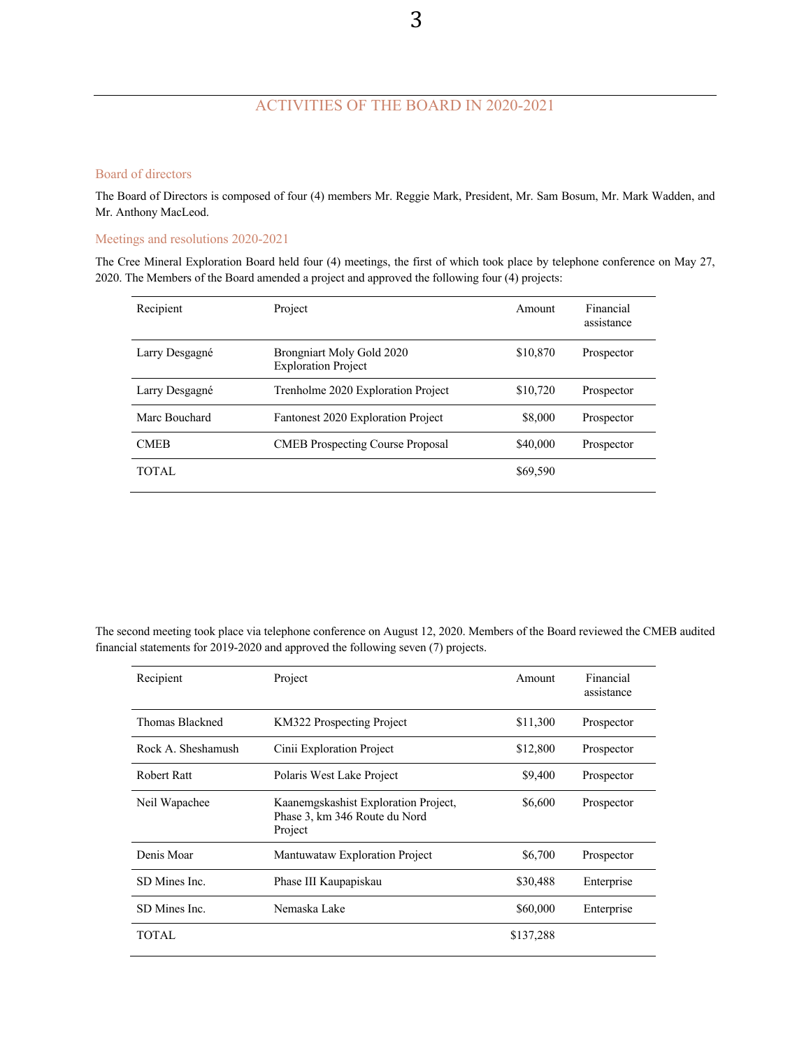# ACTIVITIES OF THE BOARD IN 2020-2021

## Board of directors

The Board of Directors is composed of four (4) members Mr. Reggie Mark, President, Mr. Sam Bosum, Mr. Mark Wadden, and Mr. Anthony MacLeod.

Meetings and resolutions 2020-2021

The Cree Mineral Exploration Board held four (4) meetings, the first of which took place by telephone conference on May 27, 2020. The Members of the Board amended a project and approved the following four (4) projects:

| Recipient      | Project                                                 | Amount   | Financial<br>assistance |
|----------------|---------------------------------------------------------|----------|-------------------------|
| Larry Desgagné | Brongniart Moly Gold 2020<br><b>Exploration Project</b> | \$10,870 | Prospector              |
| Larry Desgagné | Trenholme 2020 Exploration Project                      | \$10,720 | Prospector              |
| Marc Bouchard  | Fantonest 2020 Exploration Project                      | \$8,000  | Prospector              |
| <b>CMEB</b>    | <b>CMEB</b> Prospecting Course Proposal                 | \$40,000 | Prospector              |
| TOTAL.         |                                                         | \$69,590 |                         |

The second meeting took place via telephone conference on August 12, 2020. Members of the Board reviewed the CMEB audited financial statements for 2019-2020 and approved the following seven (7) projects.

| Recipient          | Project                                                                          | Amount    | Financial<br>assistance |
|--------------------|----------------------------------------------------------------------------------|-----------|-------------------------|
| Thomas Blackned    | KM322 Prospecting Project                                                        | \$11,300  | Prospector              |
| Rock A. Sheshamush | Cinii Exploration Project                                                        | \$12,800  | Prospector              |
| Robert Ratt        | Polaris West Lake Project                                                        | \$9,400   | Prospector              |
| Neil Wapachee      | Kaanemgskashist Exploration Project,<br>Phase 3, km 346 Route du Nord<br>Project | \$6,600   | Prospector              |
| Denis Moar         | Mantuwataw Exploration Project                                                   | \$6,700   | Prospector              |
| SD Mines Inc.      | Phase III Kaupapiskau                                                            | \$30,488  | Enterprise              |
| SD Mines Inc.      | Nemaska Lake                                                                     | \$60,000  | Enterprise              |
| TOTAL              |                                                                                  | \$137,288 |                         |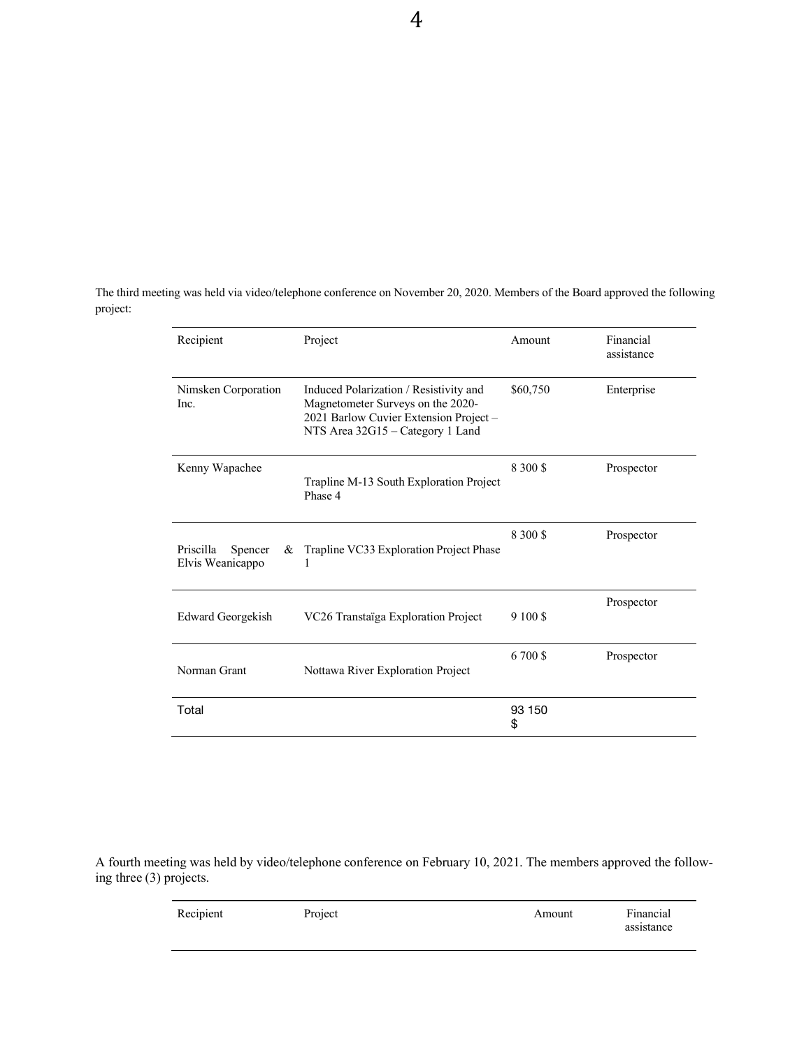The third meeting was held via video/telephone conference on November 20, 2020. Members of the Board approved the following project:

| Recipient                                     | Project                                                                                                                                                   | Amount       | Financial<br>assistance |
|-----------------------------------------------|-----------------------------------------------------------------------------------------------------------------------------------------------------------|--------------|-------------------------|
| Nimsken Corporation<br>Inc.                   | Induced Polarization / Resistivity and<br>Magnetometer Surveys on the 2020-<br>2021 Barlow Cuvier Extension Project -<br>NTS Area 32G15 - Category 1 Land | \$60,750     | Enterprise              |
| Kenny Wapachee                                | Trapline M-13 South Exploration Project<br>Phase 4                                                                                                        | 8 300 \$     | Prospector              |
| Priscilla<br>Spencer<br>&<br>Elvis Weanicappo | Trapline VC33 Exploration Project Phase<br>ı                                                                                                              | 8 300 \$     | Prospector              |
| Edward Georgekish                             | VC26 Transtaïga Exploration Project                                                                                                                       | 9 100 \$     | Prospector              |
| Norman Grant                                  | Nottawa River Exploration Project                                                                                                                         | 6700\$       | Prospector              |
| Total                                         |                                                                                                                                                           | 93 150<br>\$ |                         |

A fourth meeting was held by video/telephone conference on February 10, 2021. The members approved the following three (3) projects.

| Recipient | Project | Amount | Financial  |
|-----------|---------|--------|------------|
|           |         |        | assistance |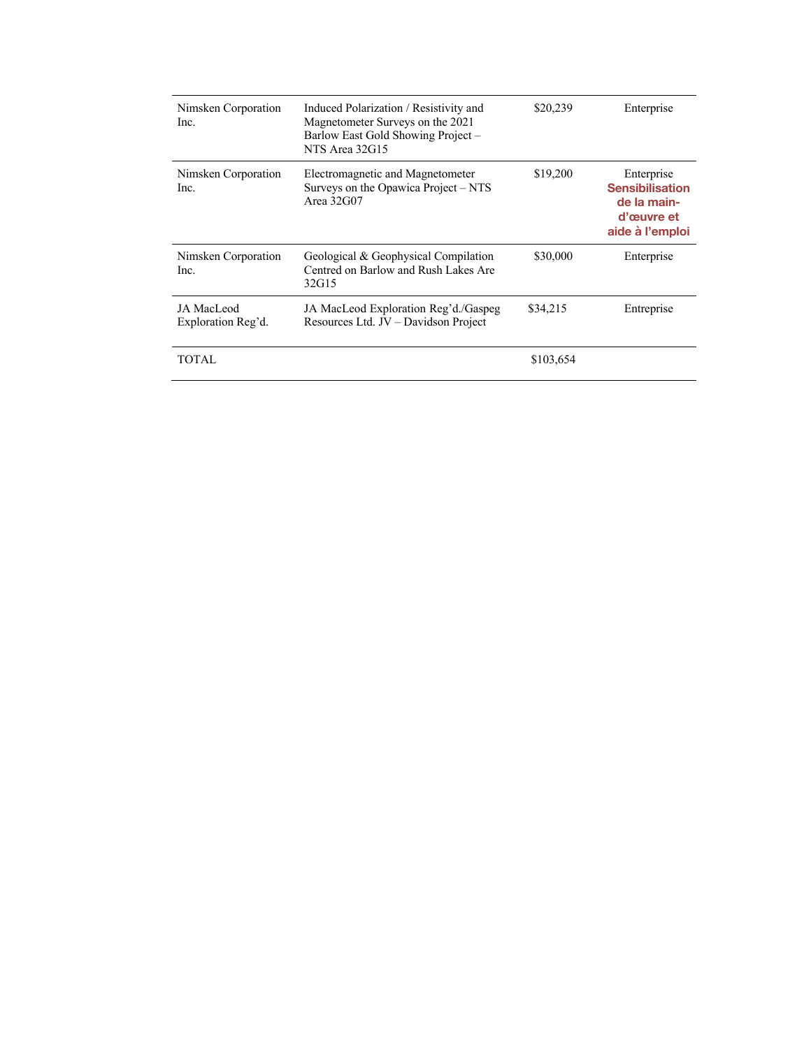| Nimsken Corporation<br>Inc.      | Induced Polarization / Resistivity and<br>Magnetometer Surveys on the 2021<br>Barlow East Gold Showing Project -<br>NTS Area 32G15 | \$20,239  | Enterprise                                                                           |
|----------------------------------|------------------------------------------------------------------------------------------------------------------------------------|-----------|--------------------------------------------------------------------------------------|
| Nimsken Corporation<br>Inc.      | Electromagnetic and Magnetometer<br>Surveys on the Opawica Project - NTS<br>Area $32G$ 07                                          | \$19,200  | Enterprise<br><b>Sensibilisation</b><br>de la main-<br>d'œuvre et<br>aide à l'emploi |
| Nimsken Corporation<br>Inc.      | Geological & Geophysical Compilation<br>Centred on Barlow and Rush Lakes Are<br>32G15                                              | \$30,000  | Enterprise                                                                           |
| JA MacLeod<br>Exploration Reg'd. | JA MacLeod Exploration Reg'd./Gaspeg<br>Resources Ltd. JV - Davidson Project                                                       | \$34,215  | Entreprise                                                                           |
| TOTAL                            |                                                                                                                                    | \$103,654 |                                                                                      |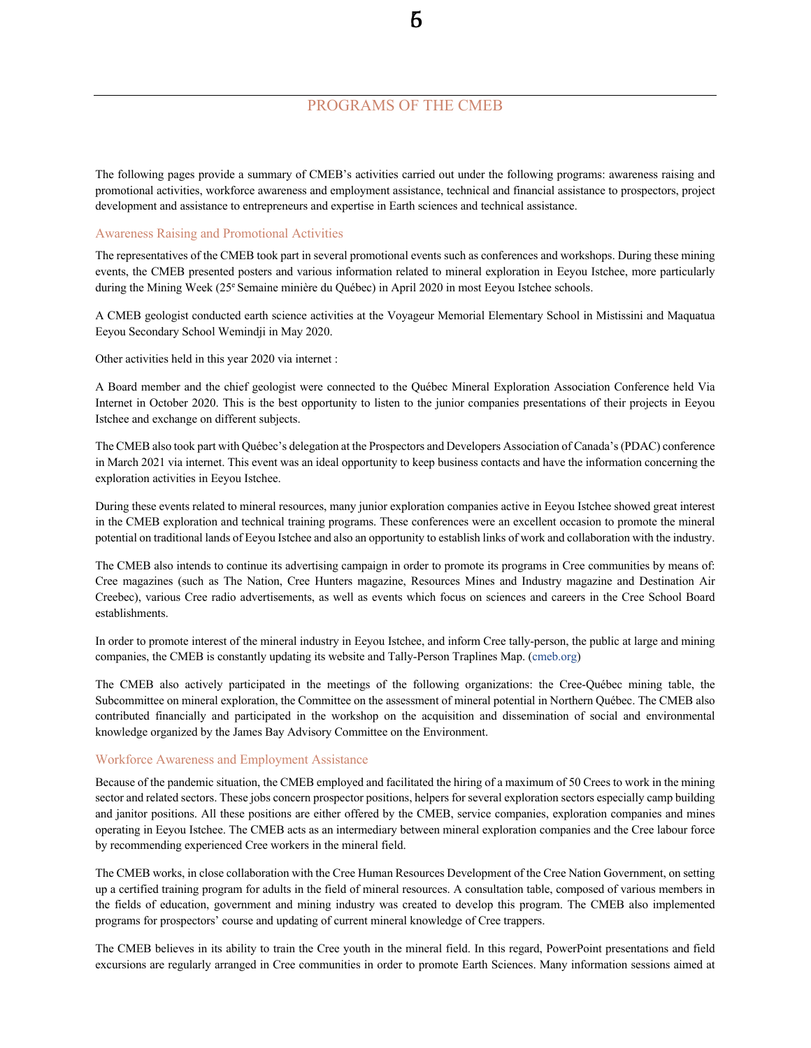# PROGRAMS OF THE CMEB

56

The following pages provide a summary of CMEB's activities carried out under the following programs: awareness raising and promotional activities, workforce awareness and employment assistance, technical and financial assistance to prospectors, project development and assistance to entrepreneurs and expertise in Earth sciences and technical assistance.

## Awareness Raising and Promotional Activities

The representatives of the CMEB took part in several promotional events such as conferences and workshops. During these mining events, the CMEB presented posters and various information related to mineral exploration in Eeyou Istchee, more particularly during the Mining Week (25<sup>e</sup> Semaine minière du Québec) in April 2020 in most Eeyou Istchee schools.

A CMEB geologist conducted earth science activities at the Voyageur Memorial Elementary School in Mistissini and Maquatua Eeyou Secondary School Wemindji in May 2020.

Other activities held in this year 2020 via internet :

A Board member and the chief geologist were connected to the Québec Mineral Exploration Association Conference held Via Internet in October 2020. This is the best opportunity to listen to the junior companies presentations of their projects in Eeyou Istchee and exchange on different subjects.

The CMEB also took part with Québec's delegation at the Prospectors and Developers Association of Canada's(PDAC) conference in March 2021 via internet. This event was an ideal opportunity to keep business contacts and have the information concerning the exploration activities in Eeyou Istchee.

During these events related to mineral resources, many junior exploration companies active in Eeyou Istchee showed great interest in the CMEB exploration and technical training programs. These conferences were an excellent occasion to promote the mineral potential on traditional lands of Eeyou Istchee and also an opportunity to establish links of work and collaboration with the industry.

The CMEB also intends to continue its advertising campaign in order to promote its programs in Cree communities by means of: Cree magazines (such as The Nation, Cree Hunters magazine, Resources Mines and Industry magazine and Destination Air Creebec), various Cree radio advertisements, as well as events which focus on sciences and careers in the Cree School Board establishments.

In order to promote interest of the mineral industry in Eeyou Istchee, and inform Cree tally-person, the public at large and mining companies, the CMEB is constantly updating its website and Tally-Person Traplines Map. (cmeb.org)

The CMEB also actively participated in the meetings of the following organizations: the Cree-Québec mining table, the Subcommittee on mineral exploration, the Committee on the assessment of mineral potential in Northern Québec. The CMEB also contributed financially and participated in the workshop on the acquisition and dissemination of social and environmental knowledge organized by the James Bay Advisory Committee on the Environment.

### Workforce Awareness and Employment Assistance

Because of the pandemic situation, the CMEB employed and facilitated the hiring of a maximum of 50 Crees to work in the mining sector and related sectors. These jobs concern prospector positions, helpers for several exploration sectors especially camp building and janitor positions. All these positions are either offered by the CMEB, service companies, exploration companies and mines operating in Eeyou Istchee. The CMEB acts as an intermediary between mineral exploration companies and the Cree labour force by recommending experienced Cree workers in the mineral field.

The CMEB works, in close collaboration with the Cree Human Resources Development of the Cree Nation Government, on setting up a certified training program for adults in the field of mineral resources. A consultation table, composed of various members in the fields of education, government and mining industry was created to develop this program. The CMEB also implemented programs for prospectors' course and updating of current mineral knowledge of Cree trappers.

The CMEB believes in its ability to train the Cree youth in the mineral field. In this regard, PowerPoint presentations and field excursions are regularly arranged in Cree communities in order to promote Earth Sciences. Many information sessions aimed at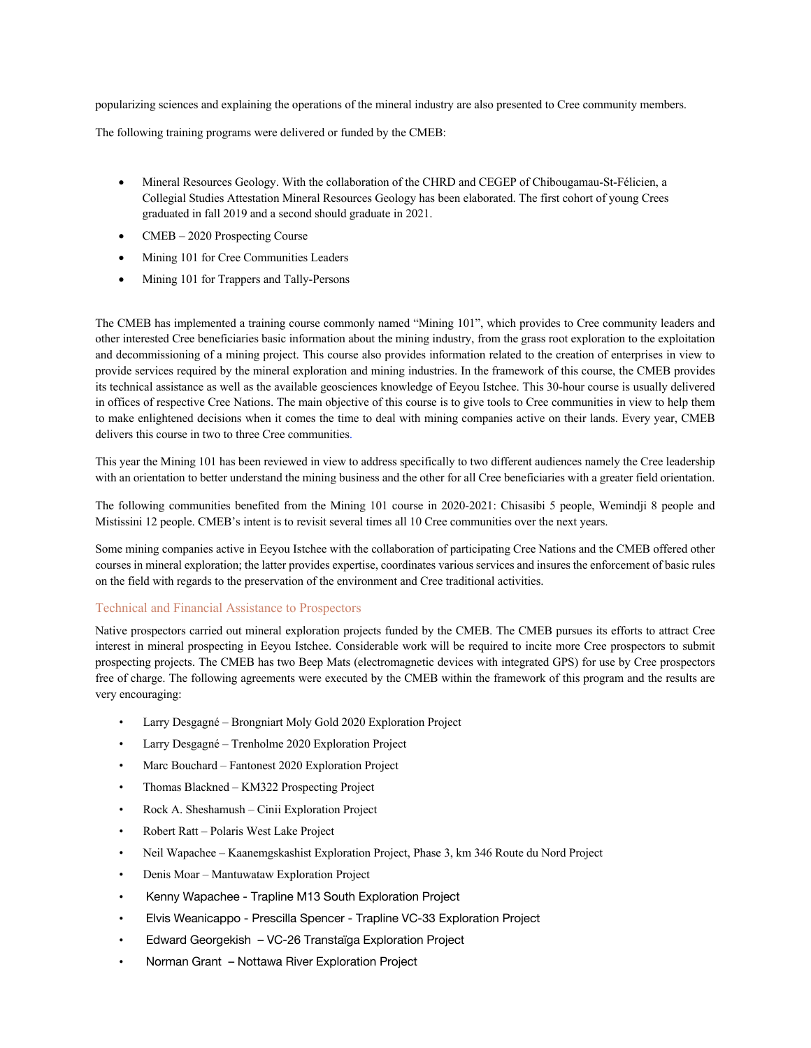popularizing sciences and explaining the operations of the mineral industry are also presented to Cree community members.

The following training programs were delivered or funded by the CMEB:

- Mineral Resources Geology. With the collaboration of the CHRD and CEGEP of Chibougamau-St-Félicien, a Collegial Studies Attestation Mineral Resources Geology has been elaborated. The first cohort of young Crees graduated in fall 2019 and a second should graduate in 2021.
- CMEB 2020 Prospecting Course
- Mining 101 for Cree Communities Leaders
- Mining 101 for Trappers and Tally-Persons

The CMEB has implemented a training course commonly named "Mining 101", which provides to Cree community leaders and other interested Cree beneficiaries basic information about the mining industry, from the grass root exploration to the exploitation and decommissioning of a mining project. This course also provides information related to the creation of enterprises in view to provide services required by the mineral exploration and mining industries. In the framework of this course, the CMEB provides its technical assistance as well as the available geosciences knowledge of Eeyou Istchee. This 30-hour course is usually delivered in offices of respective Cree Nations. The main objective of this course is to give tools to Cree communities in view to help them to make enlightened decisions when it comes the time to deal with mining companies active on their lands. Every year, CMEB delivers this course in two to three Cree communities.

This year the Mining 101 has been reviewed in view to address specifically to two different audiences namely the Cree leadership with an orientation to better understand the mining business and the other for all Cree beneficiaries with a greater field orientation.

The following communities benefited from the Mining 101 course in 2020-2021: Chisasibi 5 people, Wemindji 8 people and Mistissini 12 people. CMEB's intent is to revisit several times all 10 Cree communities over the next years.

Some mining companies active in Eeyou Istchee with the collaboration of participating Cree Nations and the CMEB offered other courses in mineral exploration; the latter provides expertise, coordinates various services and insures the enforcement of basic rules on the field with regards to the preservation of the environment and Cree traditional activities.

## Technical and Financial Assistance to Prospectors

Native prospectors carried out mineral exploration projects funded by the CMEB. The CMEB pursues its efforts to attract Cree interest in mineral prospecting in Eeyou Istchee. Considerable work will be required to incite more Cree prospectors to submit prospecting projects. The CMEB has two Beep Mats (electromagnetic devices with integrated GPS) for use by Cree prospectors free of charge. The following agreements were executed by the CMEB within the framework of this program and the results are very encouraging:

- Larry Desgagné Brongniart Moly Gold 2020 Exploration Project
- Larry Desgagné Trenholme 2020 Exploration Project
- Marc Bouchard Fantonest 2020 Exploration Project
- Thomas Blackned KM322 Prospecting Project
- Rock A. Sheshamush Cinii Exploration Project
- Robert Ratt Polaris West Lake Project
- Neil Wapachee Kaanemgskashist Exploration Project, Phase 3, km 346 Route du Nord Project
- Denis Moar Mantuwataw Exploration Project
- Kenny Wapachee Trapline M13 South Exploration Project
- Elvis Weanicappo Prescilla Spencer Trapline VC-33 Exploration Project
- Edward Georgekish VC-26 Transtaïga Exploration Project
- Norman Grant Nottawa River Exploration Project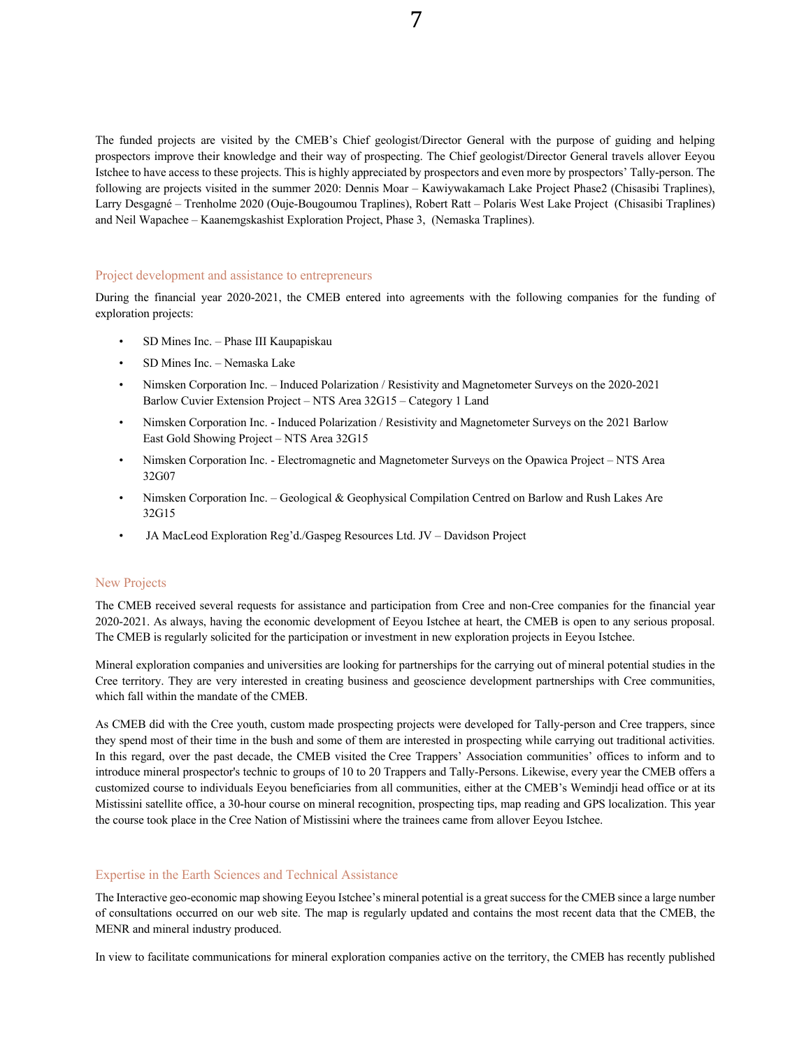The funded projects are visited by the CMEB's Chief geologist/Director General with the purpose of guiding and helping prospectors improve their knowledge and their way of prospecting. The Chief geologist/Director General travels allover Eeyou Istchee to have access to these projects. This is highly appreciated by prospectors and even more by prospectors' Tally-person. The following are projects visited in the summer 2020: Dennis Moar – Kawiywakamach Lake Project Phase2 (Chisasibi Traplines), Larry Desgagné – Trenholme 2020 (Ouje-Bougoumou Traplines), Robert Ratt – Polaris West Lake Project (Chisasibi Traplines) and Neil Wapachee – Kaanemgskashist Exploration Project, Phase 3, (Nemaska Traplines).

## Project development and assistance to entrepreneurs

During the financial year 2020-2021, the CMEB entered into agreements with the following companies for the funding of exploration projects:

- SD Mines Inc. Phase III Kaupapiskau
- SD Mines Inc. Nemaska Lake
- Nimsken Corporation Inc. Induced Polarization / Resistivity and Magnetometer Surveys on the 2020-2021 Barlow Cuvier Extension Project – NTS Area 32G15 – Category 1 Land
- Nimsken Corporation Inc. Induced Polarization / Resistivity and Magnetometer Surveys on the 2021 Barlow East Gold Showing Project – NTS Area 32G15
- Nimsken Corporation Inc. Electromagnetic and Magnetometer Surveys on the Opawica Project NTS Area 32G07
- Nimsken Corporation Inc. Geological & Geophysical Compilation Centred on Barlow and Rush Lakes Are 32G15
- JA MacLeod Exploration Reg'd./Gaspeg Resources Ltd. JV Davidson Project

### New Projects

The CMEB received several requests for assistance and participation from Cree and non-Cree companies for the financial year 2020-2021. As always, having the economic development of Eeyou Istchee at heart, the CMEB is open to any serious proposal. The CMEB is regularly solicited for the participation or investment in new exploration projects in Eeyou Istchee.

Mineral exploration companies and universities are looking for partnerships for the carrying out of mineral potential studies in the Cree territory. They are very interested in creating business and geoscience development partnerships with Cree communities, which fall within the mandate of the CMEB.

As CMEB did with the Cree youth, custom made prospecting projects were developed for Tally-person and Cree trappers, since they spend most of their time in the bush and some of them are interested in prospecting while carrying out traditional activities. In this regard, over the past decade, the CMEB visited the Cree Trappers' Association communities' offices to inform and to introduce mineral prospector's technic to groups of 10 to 20 Trappers and Tally-Persons. Likewise, every year the CMEB offers a customized course to individuals Eeyou beneficiaries from all communities, either at the CMEB's Wemindji head office or at its Mistissini satellite office, a 30-hour course on mineral recognition, prospecting tips, map reading and GPS localization. This year the course took place in the Cree Nation of Mistissini where the trainees came from allover Eeyou Istchee.

#### Expertise in the Earth Sciences and Technical Assistance

The Interactive geo-economic map showing Eeyou Istchee's mineral potential is a great success for the CMEB since a large number of consultations occurred on our web site. The map is regularly updated and contains the most recent data that the CMEB, the MENR and mineral industry produced.

In view to facilitate communications for mineral exploration companies active on the territory, the CMEB has recently published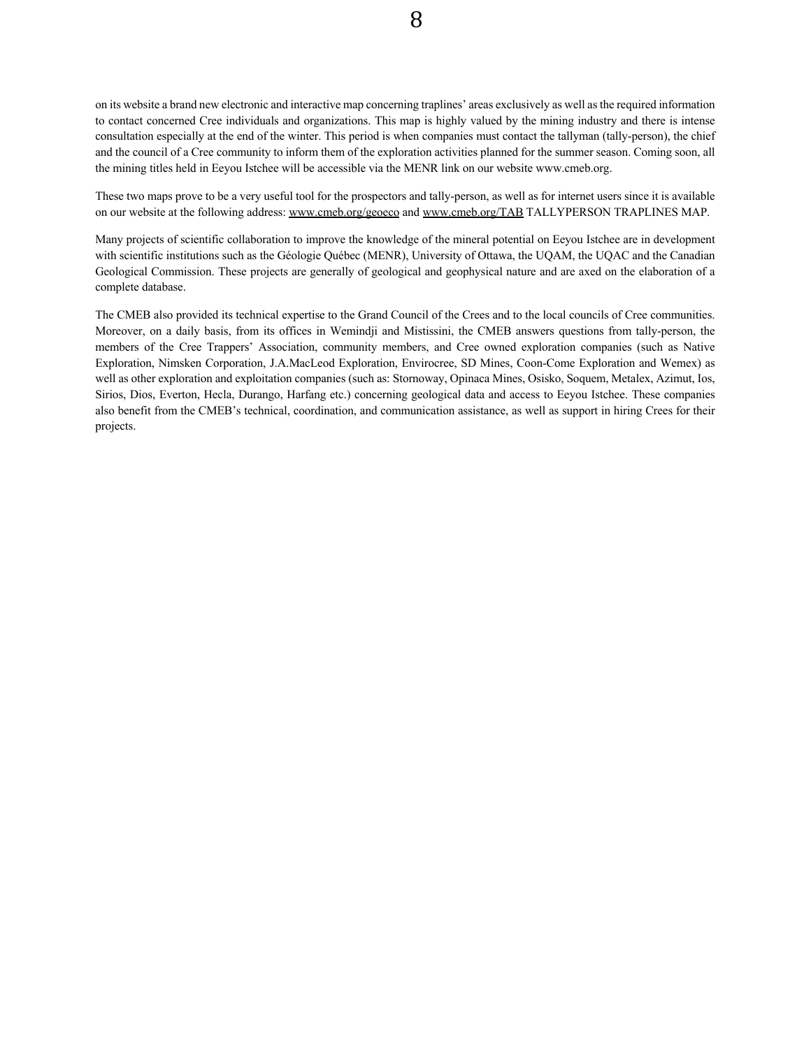on its website a brand new electronic and interactive map concerning traplines' areas exclusively as well asthe required information to contact concerned Cree individuals and organizations. This map is highly valued by the mining industry and there is intense consultation especially at the end of the winter. This period is when companies must contact the tallyman (tally-person), the chief and the council of a Cree community to inform them of the exploration activities planned for the summer season. Coming soon, all the mining titles held in Eeyou Istchee will be accessible via the MENR link on our website www.cmeb.org.

These two maps prove to be a very useful tool for the prospectors and tally-person, as well as for internet users since it is available on our website at the following address: www.cmeb.org/geoeco and www.cmeb.org/TAB TALLYPERSON TRAPLINES MAP.

Many projects of scientific collaboration to improve the knowledge of the mineral potential on Eeyou Istchee are in development with scientific institutions such as the Géologie Québec (MENR), University of Ottawa, the UQAM, the UQAC and the Canadian Geological Commission. These projects are generally of geological and geophysical nature and are axed on the elaboration of a complete database.

The CMEB also provided its technical expertise to the Grand Council of the Crees and to the local councils of Cree communities. Moreover, on a daily basis, from its offices in Wemindji and Mistissini, the CMEB answers questions from tally-person, the members of the Cree Trappers' Association, community members, and Cree owned exploration companies (such as Native Exploration, Nimsken Corporation, J.A.MacLeod Exploration, Envirocree, SD Mines, Coon-Come Exploration and Wemex) as well as other exploration and exploitation companies (such as: Stornoway, Opinaca Mines, Osisko, Soquem, Metalex, Azimut, Ios, Sirios, Dios, Everton, Hecla, Durango, Harfang etc.) concerning geological data and access to Eeyou Istchee. These companies also benefit from the CMEB's technical, coordination, and communication assistance, as well as support in hiring Crees for their projects.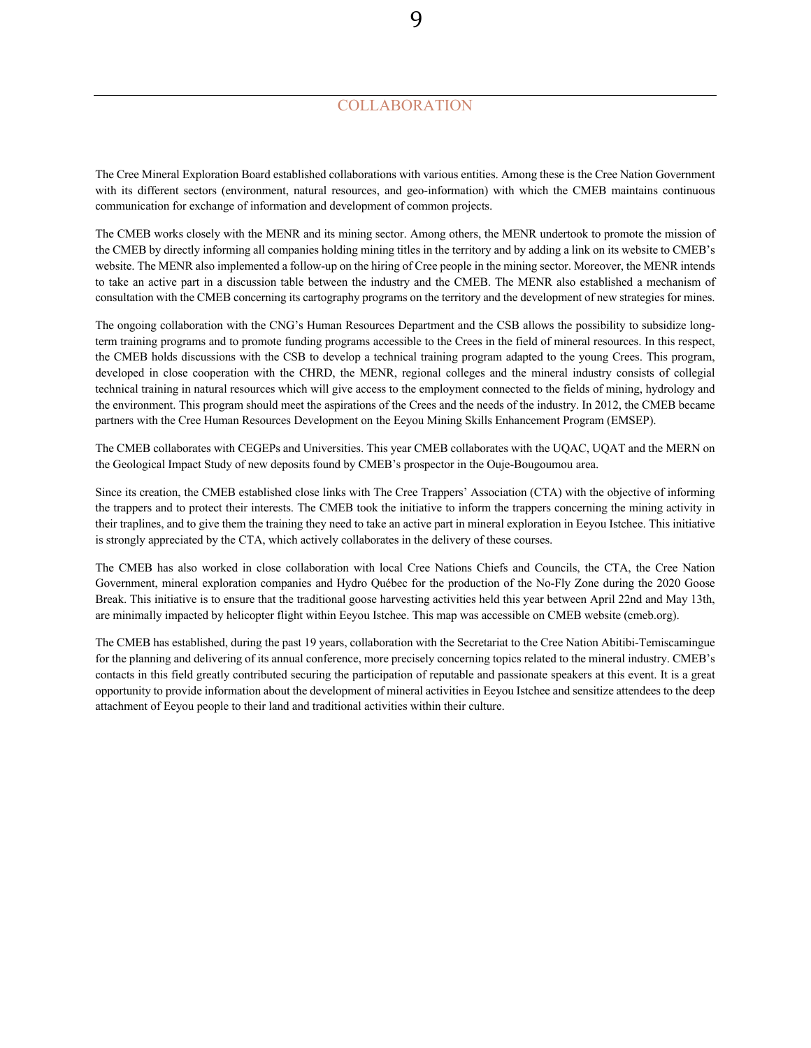# **COLLABORATION**

9

The Cree Mineral Exploration Board established collaborations with various entities. Among these is the Cree Nation Government with its different sectors (environment, natural resources, and geo-information) with which the CMEB maintains continuous communication for exchange of information and development of common projects.

The CMEB works closely with the MENR and its mining sector. Among others, the MENR undertook to promote the mission of the CMEB by directly informing all companies holding mining titles in the territory and by adding a link on its website to CMEB's website. The MENR also implemented a follow-up on the hiring of Cree people in the mining sector. Moreover, the MENR intends to take an active part in a discussion table between the industry and the CMEB. The MENR also established a mechanism of consultation with the CMEB concerning its cartography programs on the territory and the development of new strategies for mines.

The ongoing collaboration with the CNG's Human Resources Department and the CSB allows the possibility to subsidize longterm training programs and to promote funding programs accessible to the Crees in the field of mineral resources. In this respect, the CMEB holds discussions with the CSB to develop a technical training program adapted to the young Crees. This program, developed in close cooperation with the CHRD, the MENR, regional colleges and the mineral industry consists of collegial technical training in natural resources which will give access to the employment connected to the fields of mining, hydrology and the environment. This program should meet the aspirations of the Crees and the needs of the industry. In 2012, the CMEB became partners with the Cree Human Resources Development on the Eeyou Mining Skills Enhancement Program (EMSEP).

The CMEB collaborates with CEGEPs and Universities. This year CMEB collaborates with the UQAC, UQAT and the MERN on the Geological Impact Study of new deposits found by CMEB's prospector in the Ouje-Bougoumou area.

Since its creation, the CMEB established close links with The Cree Trappers' Association (CTA) with the objective of informing the trappers and to protect their interests. The CMEB took the initiative to inform the trappers concerning the mining activity in their traplines, and to give them the training they need to take an active part in mineral exploration in Eeyou Istchee. This initiative is strongly appreciated by the CTA, which actively collaborates in the delivery of these courses.

The CMEB has also worked in close collaboration with local Cree Nations Chiefs and Councils, the CTA, the Cree Nation Government, mineral exploration companies and Hydro Québec for the production of the No-Fly Zone during the 2020 Goose Break. This initiative is to ensure that the traditional goose harvesting activities held this year between April 22nd and May 13th, are minimally impacted by helicopter flight within Eeyou Istchee. This map was accessible on CMEB website (cmeb.org).

The CMEB has established, during the past 19 years, collaboration with the Secretariat to the Cree Nation Abitibi-Temiscamingue for the planning and delivering of its annual conference, more precisely concerning topics related to the mineral industry. CMEB's contacts in this field greatly contributed securing the participation of reputable and passionate speakers at this event. It is a great opportunity to provide information about the development of mineral activities in Eeyou Istchee and sensitize attendees to the deep attachment of Eeyou people to their land and traditional activities within their culture.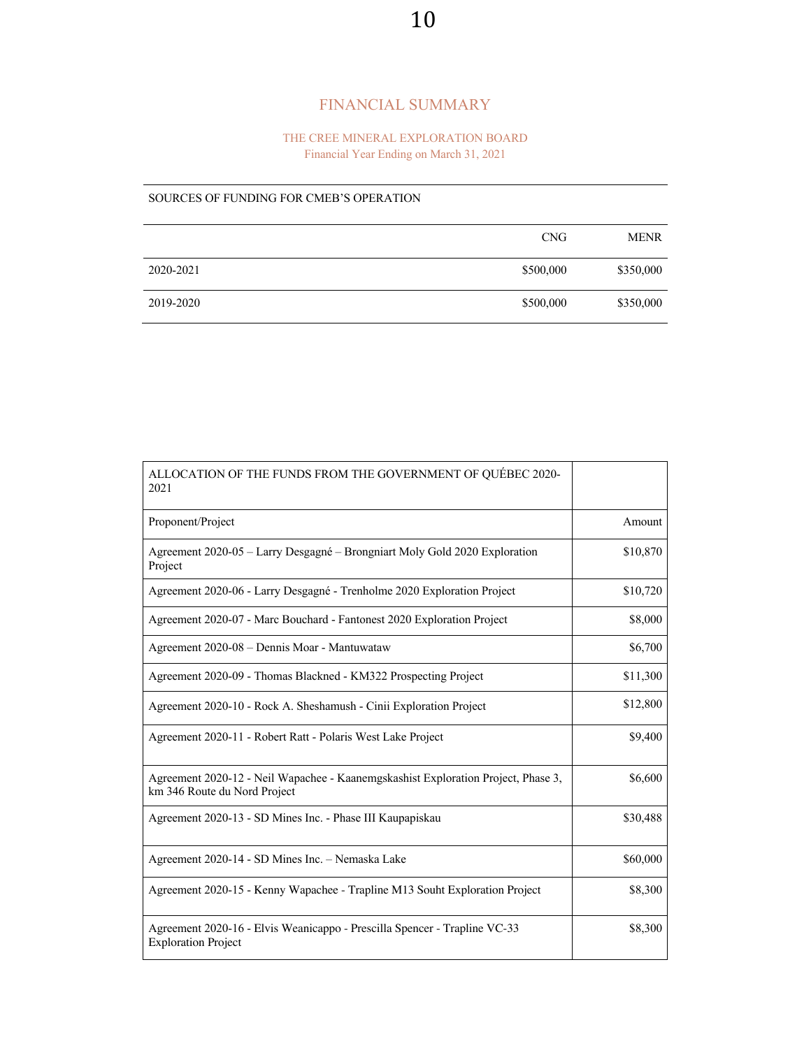# FINANCIAL SUMMARY

## THE CREE MINERAL EXPLORATION BOARD Financial Year Ending on March 31, 2021

## SOURCES OF FUNDING FOR CMEB'S OPERATION

|           | <b>CNG</b> | <b>MENR</b> |
|-----------|------------|-------------|
| 2020-2021 | \$500,000  | \$350,000   |
| 2019-2020 | \$500,000  | \$350,000   |

| ALLOCATION OF THE FUNDS FROM THE GOVERNMENT OF QUÉBEC 2020-<br>2021                                               |          |
|-------------------------------------------------------------------------------------------------------------------|----------|
| Proponent/Project                                                                                                 | Amount   |
| Agreement 2020-05 - Larry Desgagné - Brongniart Moly Gold 2020 Exploration<br>Project                             | \$10,870 |
| Agreement 2020-06 - Larry Desgagné - Trenholme 2020 Exploration Project                                           | \$10,720 |
| Agreement 2020-07 - Marc Bouchard - Fantonest 2020 Exploration Project                                            | \$8,000  |
| Agreement 2020-08 – Dennis Moar - Mantuwataw                                                                      | \$6,700  |
| Agreement 2020-09 - Thomas Blackned - KM322 Prospecting Project                                                   | \$11,300 |
| Agreement 2020-10 - Rock A. Sheshamush - Cinii Exploration Project                                                | \$12,800 |
| Agreement 2020-11 - Robert Ratt - Polaris West Lake Project                                                       | \$9,400  |
| Agreement 2020-12 - Neil Wapachee - Kaanemgskashist Exploration Project, Phase 3,<br>km 346 Route du Nord Project | \$6,600  |
| Agreement 2020-13 - SD Mines Inc. - Phase III Kaupapiskau                                                         | \$30,488 |
| Agreement 2020-14 - SD Mines Inc. - Nemaska Lake                                                                  | \$60,000 |
| Agreement 2020-15 - Kenny Wapachee - Trapline M13 Souht Exploration Project                                       | \$8,300  |
| Agreement 2020-16 - Elvis Weanicappo - Prescilla Spencer - Trapline VC-33<br><b>Exploration Project</b>           | \$8,300  |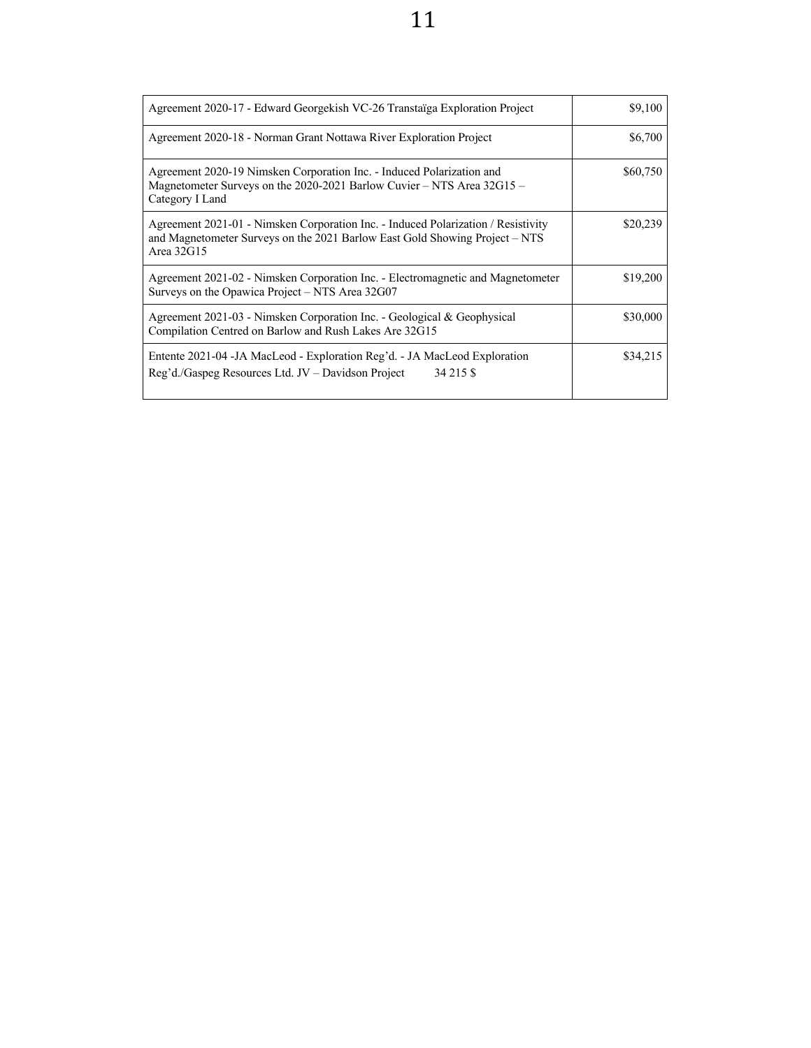| Agreement 2020-17 - Edward Georgekish VC-26 Transtaïga Exploration Project                                                                                                     | \$9,100  |
|--------------------------------------------------------------------------------------------------------------------------------------------------------------------------------|----------|
| Agreement 2020-18 - Norman Grant Nottawa River Exploration Project                                                                                                             | \$6,700  |
| Agreement 2020-19 Nimsken Corporation Inc. - Induced Polarization and<br>Magnetometer Surveys on the 2020-2021 Barlow Cuvier - NTS Area 32G15 -<br>Category I Land             | \$60,750 |
| Agreement 2021-01 - Nimsken Corporation Inc. - Induced Polarization / Resistivity<br>and Magnetometer Surveys on the 2021 Barlow East Gold Showing Project – NTS<br>Area 32G15 | \$20,239 |
| Agreement 2021-02 - Nimsken Corporation Inc. - Electromagnetic and Magnetometer<br>Surveys on the Opawica Project $-$ NTS Area 32G07                                           | \$19,200 |
| Agreement 2021-03 - Nimsken Corporation Inc. - Geological & Geophysical<br>Compilation Centred on Barlow and Rush Lakes Are 32G15                                              | \$30,000 |
| Entente 2021-04 - JA MacLeod - Exploration Reg'd. - JA MacLeod Exploration<br>Reg'd./Gaspeg Resources Ltd. JV – Davidson Project<br>34 215 \$                                  | \$34,215 |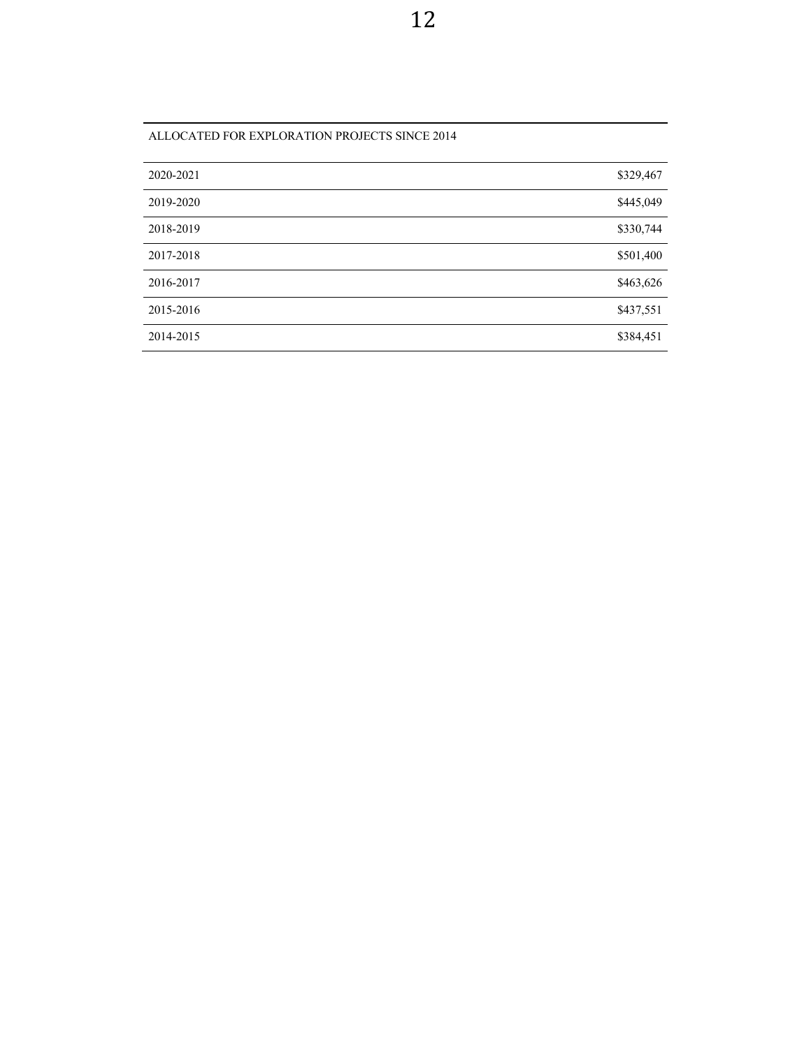| 2020-2021 | \$329,467 |
|-----------|-----------|
| 2019-2020 | \$445,049 |
| 2018-2019 | \$330,744 |
| 2017-2018 | \$501,400 |
| 2016-2017 | \$463,626 |
| 2015-2016 | \$437,551 |
| 2014-2015 | \$384,451 |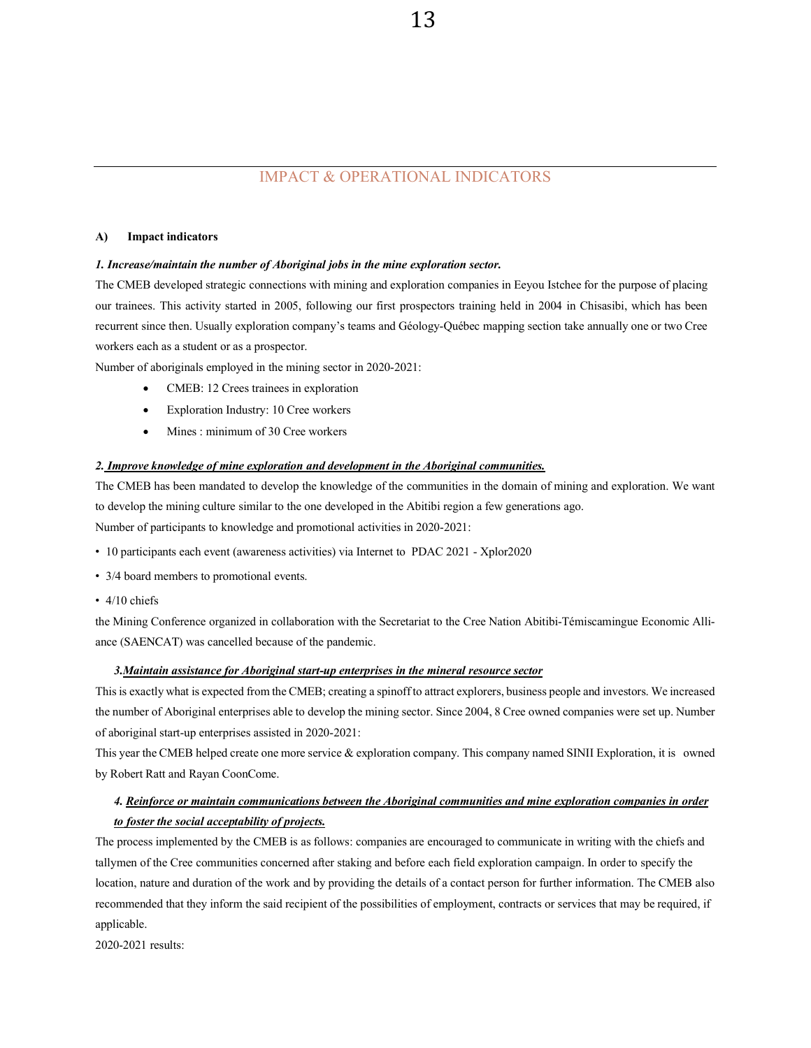# IMPACT & OPERATIONAL INDICATORS

### **A) Impact indicators**

#### *1. Increase/maintain the number of Aboriginal jobs in the mine exploration sector.*

The CMEB developed strategic connections with mining and exploration companies in Eeyou Istchee for the purpose of placing our trainees. This activity started in 2005, following our first prospectors training held in 2004 in Chisasibi, which has been recurrent since then. Usually exploration company's teams and Géology-Québec mapping section take annually one or two Cree workers each as a student or as a prospector.

Number of aboriginals employed in the mining sector in 2020-2021:

- CMEB: 12 Crees trainees in exploration
- Exploration Industry: 10 Cree workers
- Mines : minimum of 30 Cree workers

## *2. Improve knowledge of mine exploration and development in the Aboriginal communities.*

The CMEB has been mandated to develop the knowledge of the communities in the domain of mining and exploration. We want to develop the mining culture similar to the one developed in the Abitibi region a few generations ago. Number of participants to knowledge and promotional activities in 2020-2021:

- " 10 participants each event (awareness activities) via Internet to PDAC 2021 Xplor2020
- 3/4 board members to promotional events.
- $\cdot$  4/10 chiefs

the Mining Conference organized in collaboration with the Secretariat to the Cree Nation Abitibi-Témiscamingue Economic Alliance (SAENCAT) was cancelled because of the pandemic.

## *3.Maintain assistance for Aboriginal start-up enterprises in the mineral resource sector*

Thisis exactly what is expected from the CMEB; creating a spinoff to attract explorers, business people and investors. We increased the number of Aboriginal enterprises able to develop the mining sector. Since 2004, 8 Cree owned companies were set up. Number of aboriginal start-up enterprises assisted in 2020-2021:

This year the CMEB helped create one more service & exploration company. This company named SINII Exploration, it is owned by Robert Ratt and Rayan CoonCome.

# *4. Reinforce or maintain communications between the Aboriginal communities and mine exploration companies in order to foster the social acceptability of projects.*

The process implemented by the CMEB is as follows: companies are encouraged to communicate in writing with the chiefs and tallymen of the Cree communities concerned after staking and before each field exploration campaign. In order to specify the location, nature and duration of the work and by providing the details of a contact person for further information. The CMEB also recommended that they inform the said recipient of the possibilities of employment, contracts or services that may be required, if applicable.

2020-2021 results: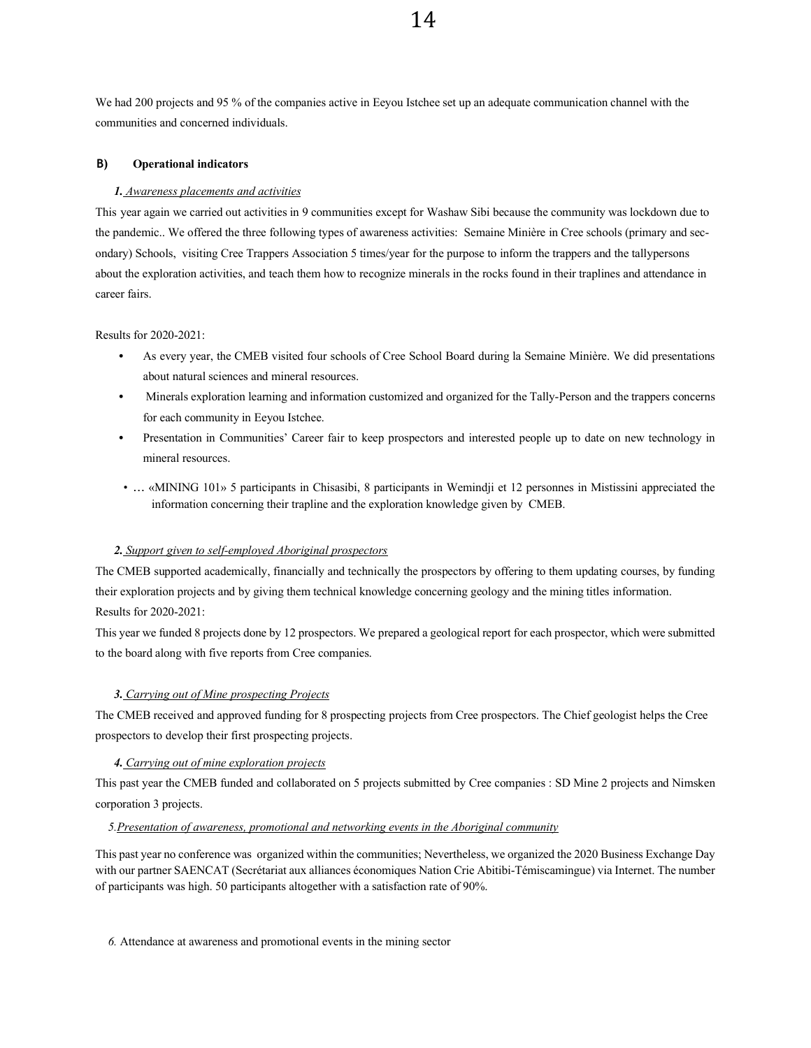We had 200 projects and 95 % of the companies active in Eeyou Istchee set up an adequate communication channel with the communities and concerned individuals.

#### **B) Operational indicators**

#### *1. Awareness placements and activities*

This year again we carried out activities in 9 communities except for Washaw Sibi because the community was lockdown due to the pandemic.. We offered the three following types of awareness activities: Semaine Minière in Cree schools (primary and secondary) Schools, visiting Cree Trappers Association 5 times/year for the purpose to inform the trappers and the tallypersons about the exploration activities, and teach them how to recognize minerals in the rocks found in their traplines and attendance in career fairs.

### Results for 2020-2021:

- As every year, the CMEB visited four schools of Cree School Board during la Semaine Minière. We did presentations about natural sciences and mineral resources.
- Minerals exploration learning and information customized and organized for the Tally-Person and the trappers concerns for each community in Eeyou Istchee.
- Presentation in Communities' Career fair to keep prospectors and interested people up to date on new technology in mineral resources.
- … «MINING 101» 5 participants in Chisasibi, 8 participants in Wemindji et 12 personnes in Mistissini appreciated the information concerning their trapline and the exploration knowledge given by CMEB.

### *2. Support given to self-employed Aboriginal prospectors*

The CMEB supported academically, financially and technically the prospectors by offering to them updating courses, by funding their exploration projects and by giving them technical knowledge concerning geology and the mining titles information. Results for 2020-2021:

This year we funded 8 projects done by 12 prospectors. We prepared a geological report for each prospector, which were submitted to the board along with five reports from Cree companies.

### *3. Carrying out of Mine prospecting Projects*

The CMEB received and approved funding for 8 prospecting projects from Cree prospectors. The Chief geologist helps the Cree prospectors to develop their first prospecting projects.

### *4. Carrying out of mine exploration projects*

This past year the CMEB funded and collaborated on 5 projects submitted by Cree companies : SD Mine 2 projects and Nimsken corporation 3 projects.

### *5.Presentation of awareness, promotional and networking events in the Aboriginal community*

This past year no conference was organized within the communities; Nevertheless, we organized the 2020 Business Exchange Day with our partner SAENCAT (Secrétariat aux alliances économiques Nation Crie Abitibi-Témiscamingue) via Internet. The number of participants was high. 50 participants altogether with a satisfaction rate of 90%.

*6.* Attendance at awareness and promotional events in the mining sector